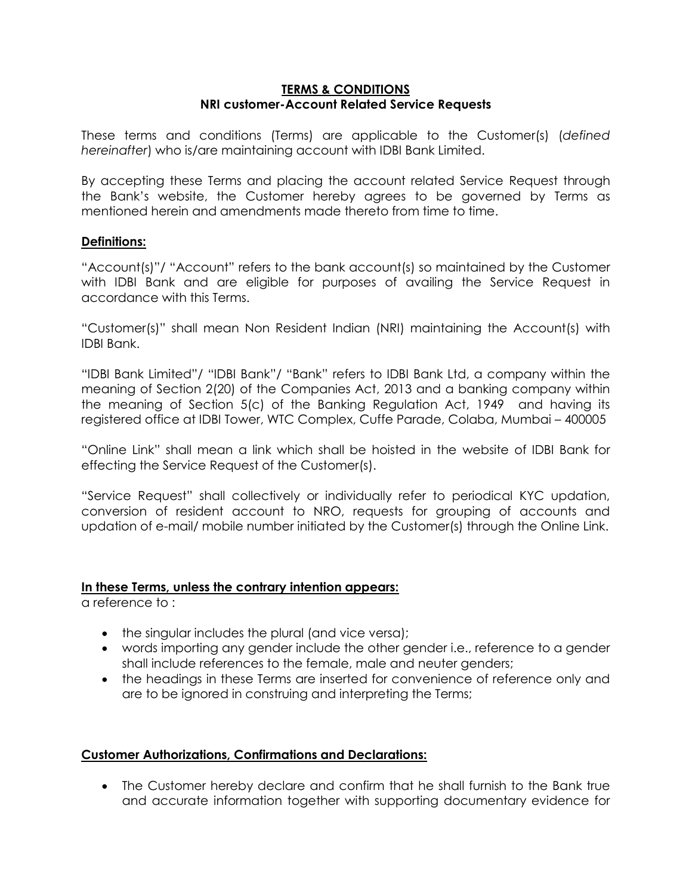### **TERMS & CONDITIONS NRI customer-Account Related Service Requests**

These terms and conditions (Terms) are applicable to the Customer(s) (*defined hereinafter*) who is/are maintaining account with IDBI Bank Limited.

By accepting these Terms and placing the account related Service Request through the Bank's website, the Customer hereby agrees to be governed by Terms as mentioned herein and amendments made thereto from time to time.

## **Definitions:**

"Account(s)"/ "Account" refers to the bank account(s) so maintained by the Customer with IDBI Bank and are eligible for purposes of availing the Service Request in accordance with this Terms.

"Customer(s)" shall mean Non Resident Indian (NRI) maintaining the Account(s) with IDBI Bank.

"IDBI Bank Limited"/ "IDBI Bank"/ "Bank" refers to IDBI Bank Ltd, a company within the meaning of Section 2(20) of the Companies Act, 2013 and a banking company within the meaning of Section 5(c) of the Banking Regulation Act, 1949 and having its registered office at IDBI Tower, WTC Complex, Cuffe Parade, Colaba, Mumbai – 400005

"Online Link" shall mean a link which shall be hoisted in the website of IDBI Bank for effecting the Service Request of the Customer(s).

"Service Request" shall collectively or individually refer to periodical KYC updation, conversion of resident account to NRO, requests for grouping of accounts and updation of e-mail/ mobile number initiated by the Customer(s) through the Online Link.

### **In these Terms, unless the contrary intention appears:**

a reference to :

- the singular includes the plural (and vice versa);
- words importing any gender include the other gender i.e., reference to a gender shall include references to the female, male and neuter genders;
- the headings in these Terms are inserted for convenience of reference only and are to be ignored in construing and interpreting the Terms;

### **Customer Authorizations, Confirmations and Declarations:**

 The Customer hereby declare and confirm that he shall furnish to the Bank true and accurate information together with supporting documentary evidence for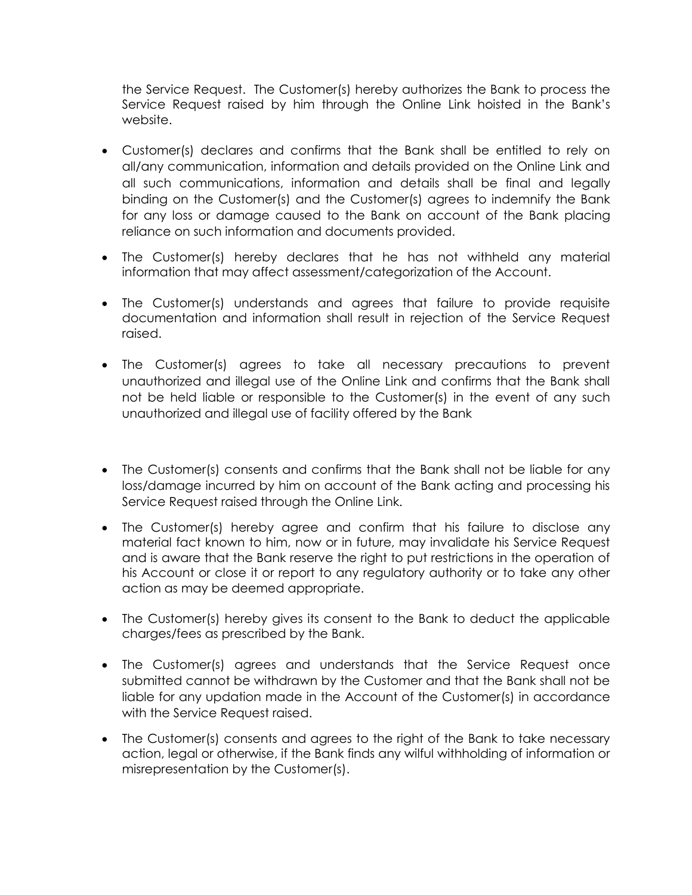the Service Request. The Customer(s) hereby authorizes the Bank to process the Service Request raised by him through the Online Link hoisted in the Bank's website.

- Customer(s) declares and confirms that the Bank shall be entitled to rely on all/any communication, information and details provided on the Online Link and all such communications, information and details shall be final and legally binding on the Customer(s) and the Customer(s) agrees to indemnify the Bank for any loss or damage caused to the Bank on account of the Bank placing reliance on such information and documents provided.
- The Customer(s) hereby declares that he has not withheld any material information that may affect assessment/categorization of the Account.
- The Customer(s) understands and agrees that failure to provide requisite documentation and information shall result in rejection of the Service Request raised.
- The Customer(s) agrees to take all necessary precautions to prevent unauthorized and illegal use of the Online Link and confirms that the Bank shall not be held liable or responsible to the Customer(s) in the event of any such unauthorized and illegal use of facility offered by the Bank
- The Customer(s) consents and confirms that the Bank shall not be liable for any loss/damage incurred by him on account of the Bank acting and processing his Service Request raised through the Online Link.
- The Customer(s) hereby agree and confirm that his failure to disclose any material fact known to him, now or in future, may invalidate his Service Request and is aware that the Bank reserve the right to put restrictions in the operation of his Account or close it or report to any regulatory authority or to take any other action as may be deemed appropriate.
- The Customer(s) hereby gives its consent to the Bank to deduct the applicable charges/fees as prescribed by the Bank.
- The Customer(s) agrees and understands that the Service Request once submitted cannot be withdrawn by the Customer and that the Bank shall not be liable for any updation made in the Account of the Customer(s) in accordance with the Service Request raised.
- The Customer(s) consents and agrees to the right of the Bank to take necessary action, legal or otherwise, if the Bank finds any wilful withholding of information or misrepresentation by the Customer(s).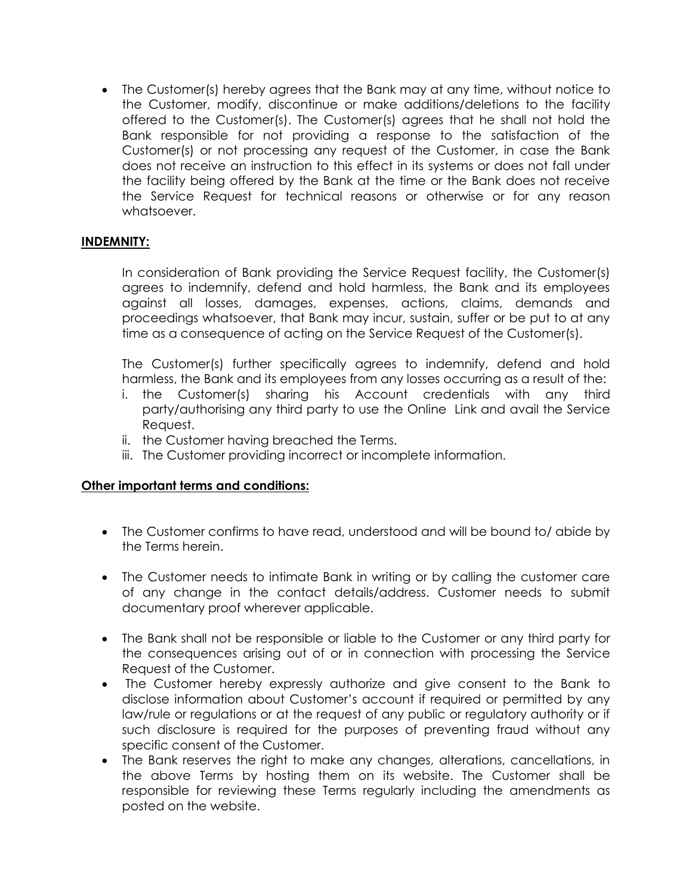The Customer(s) hereby agrees that the Bank may at any time, without notice to the Customer, modify, discontinue or make additions/deletions to the facility offered to the Customer(s). The Customer(s) agrees that he shall not hold the Bank responsible for not providing a response to the satisfaction of the Customer(s) or not processing any request of the Customer, in case the Bank does not receive an instruction to this effect in its systems or does not fall under the facility being offered by the Bank at the time or the Bank does not receive the Service Request for technical reasons or otherwise or for any reason whatsoever.

## **INDEMNITY:**

In consideration of Bank providing the Service Request facility, the Customer(s) agrees to indemnify, defend and hold harmless, the Bank and its employees against all losses, damages, expenses, actions, claims, demands and proceedings whatsoever, that Bank may incur, sustain, suffer or be put to at any time as a consequence of acting on the Service Request of the Customer(s).

The Customer(s) further specifically agrees to indemnify, defend and hold harmless, the Bank and its employees from any losses occurring as a result of the:

- i. the Customer(s) sharing his Account credentials with any third party/authorising any third party to use the Online Link and avail the Service Request.
- ii. the Customer having breached the Terms.
- iii. The Customer providing incorrect or incomplete information.

# **Other important terms and conditions:**

- The Customer confirms to have read, understood and will be bound to/ abide by the Terms herein.
- The Customer needs to intimate Bank in writing or by calling the customer care of any change in the contact details/address. Customer needs to submit documentary proof wherever applicable.
- The Bank shall not be responsible or liable to the Customer or any third party for the consequences arising out of or in connection with processing the Service Request of the Customer.
- The Customer hereby expressly authorize and give consent to the Bank to disclose information about Customer's account if required or permitted by any law/rule or regulations or at the request of any public or regulatory authority or if such disclosure is required for the purposes of preventing fraud without any specific consent of the Customer.
- The Bank reserves the right to make any changes, alterations, cancellations, in the above Terms by hosting them on its website. The Customer shall be responsible for reviewing these Terms regularly including the amendments as posted on the website.